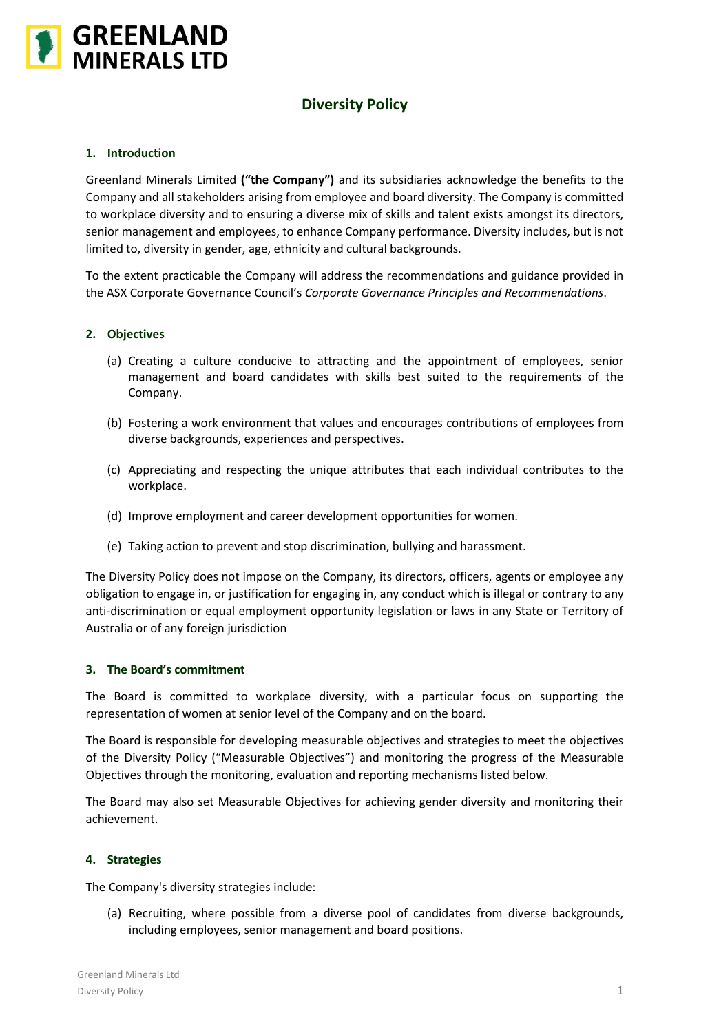

# **Diversity Policy**

# **1. Introduction**

Greenland Minerals Limited **("the Company")** and its subsidiaries acknowledge the benefits to the Company and all stakeholders arising from employee and board diversity. The Company is committed to workplace diversity and to ensuring a diverse mix of skills and talent exists amongst its directors, senior management and employees, to enhance Company performance. Diversity includes, but is not limited to, diversity in gender, age, ethnicity and cultural backgrounds.

To the extent practicable the Company will address the recommendations and guidance provided in the ASX Corporate Governance Council's *Corporate Governance Principles and Recommendations*.

# **2. Objectives**

- (a) Creating a culture conducive to attracting and the appointment of employees, senior management and board candidates with skills best suited to the requirements of the Company.
- (b) Fostering a work environment that values and encourages contributions of employees from diverse backgrounds, experiences and perspectives.
- (c) Appreciating and respecting the unique attributes that each individual contributes to the workplace.
- (d) Improve employment and career development opportunities for women.
- (e) Taking action to prevent and stop discrimination, bullying and harassment.

The Diversity Policy does not impose on the Company, its directors, officers, agents or employee any obligation to engage in, or justification for engaging in, any conduct which is illegal or contrary to any anti-discrimination or equal employment opportunity legislation or laws in any State or Territory of Australia or of any foreign jurisdiction

#### **3. The Board's commitment**

The Board is committed to workplace diversity, with a particular focus on supporting the representation of women at senior level of the Company and on the board.

The Board is responsible for developing measurable objectives and strategies to meet the objectives of the Diversity Policy ("Measurable Objectives") and monitoring the progress of the Measurable Objectives through the monitoring, evaluation and reporting mechanisms listed below.

The Board may also set Measurable Objectives for achieving gender diversity and monitoring their achievement.

# **4. Strategies**

The Company's diversity strategies include:

(a) Recruiting, where possible from a diverse pool of candidates from diverse backgrounds, including employees, senior management and board positions.